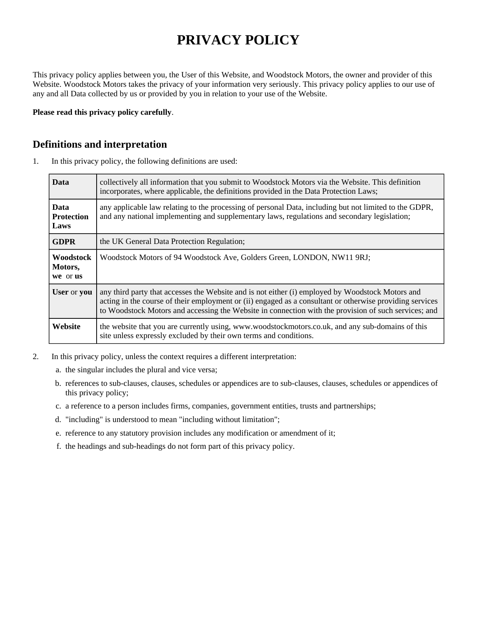# **PRIVACY POLICY**

This privacy policy applies between you, the User of this Website, and Woodstock Motors, the owner and provider of this Website. Woodstock Motors takes the privacy of your information very seriously. This privacy policy applies to our use of any and all Data collected by us or provided by you in relation to your use of the Website.

**Please read this privacy policy carefully**.

#### **Definitions and interpretation**

1. In this privacy policy, the following definitions are used:

| <b>Data</b>                              | collectively all information that you submit to Woodstock Motors via the Website. This definition<br>incorporates, where applicable, the definitions provided in the Data Protection Laws;                                                                                                                           |
|------------------------------------------|----------------------------------------------------------------------------------------------------------------------------------------------------------------------------------------------------------------------------------------------------------------------------------------------------------------------|
| <b>Data</b><br><b>Protection</b><br>Laws | any applicable law relating to the processing of personal Data, including but not limited to the GDPR,<br>and any national implementing and supplementary laws, regulations and secondary legislation;                                                                                                               |
| <b>GDPR</b>                              | the UK General Data Protection Regulation;                                                                                                                                                                                                                                                                           |
| <b>Woodstock</b><br>Motors,<br>we or us  | Woodstock Motors of 94 Woodstock Ave, Golders Green, LONDON, NW11 9RJ;                                                                                                                                                                                                                                               |
| User or you                              | any third party that accesses the Website and is not either (i) employed by Woodstock Motors and<br>acting in the course of their employment or (ii) engaged as a consultant or otherwise providing services<br>to Woodstock Motors and accessing the Website in connection with the provision of such services; and |
| Website                                  | the website that you are currently using, www.woodstockmotors.co.uk, and any sub-domains of this<br>site unless expressly excluded by their own terms and conditions.                                                                                                                                                |

- 2. In this privacy policy, unless the context requires a different interpretation:
	- a. the singular includes the plural and vice versa;
	- b. references to sub-clauses, clauses, schedules or appendices are to sub-clauses, clauses, schedules or appendices of this privacy policy;
	- c. a reference to a person includes firms, companies, government entities, trusts and partnerships;
	- d. "including" is understood to mean "including without limitation";
	- e. reference to any statutory provision includes any modification or amendment of it;
	- f. the headings and sub-headings do not form part of this privacy policy.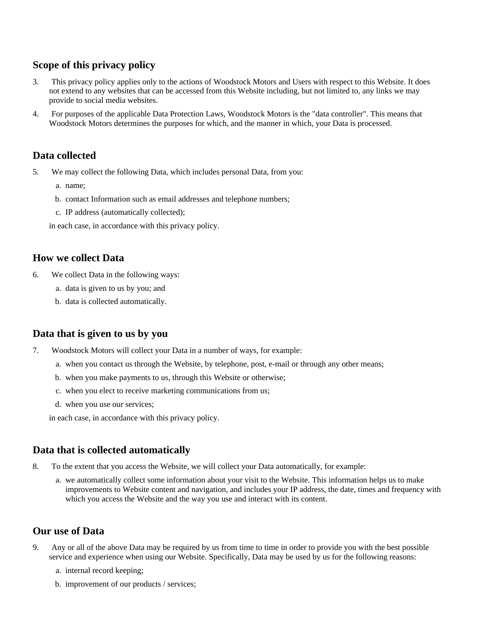# **Scope of this privacy policy**

- 3. This privacy policy applies only to the actions of Woodstock Motors and Users with respect to this Website. It does not extend to any websites that can be accessed from this Website including, but not limited to, any links we may provide to social media websites.
- 4. For purposes of the applicable Data Protection Laws, Woodstock Motors is the "data controller". This means that Woodstock Motors determines the purposes for which, and the manner in which, your Data is processed.

# **Data collected**

- 5. We may collect the following Data, which includes personal Data, from you:
	- a. name;
	- b. contact Information such as email addresses and telephone numbers;
	- c. IP address (automatically collected);

in each case, in accordance with this privacy policy.

#### **How we collect Data**

- 6. We collect Data in the following ways:
	- a. data is given to us by you; and
	- b. data is collected automatically.

# **Data that is given to us by you**

- 7. Woodstock Motors will collect your Data in a number of ways, for example:
	- a. when you contact us through the Website, by telephone, post, e-mail or through any other means;
	- b. when you make payments to us, through this Website or otherwise;
	- c. when you elect to receive marketing communications from us;
	- d. when you use our services;

in each case, in accordance with this privacy policy.

# **Data that is collected automatically**

- 8. To the extent that you access the Website, we will collect your Data automatically, for example:
	- a. we automatically collect some information about your visit to the Website. This information helps us to make improvements to Website content and navigation, and includes your IP address, the date, times and frequency with which you access the Website and the way you use and interact with its content.

# **Our use of Data**

- 9. Any or all of the above Data may be required by us from time to time in order to provide you with the best possible service and experience when using our Website. Specifically, Data may be used by us for the following reasons:
	- a. internal record keeping;
	- b. improvement of our products / services;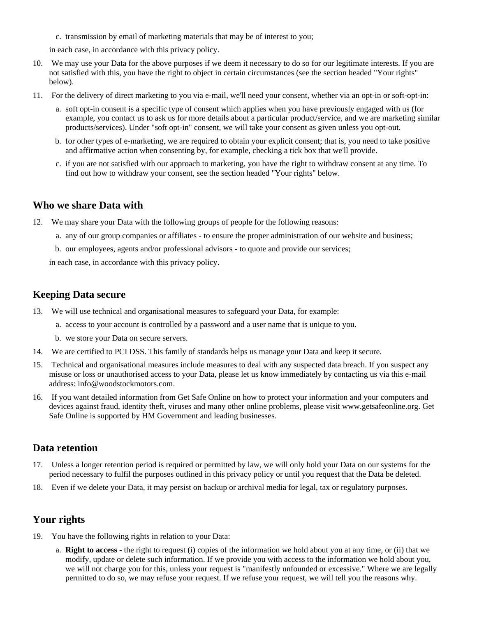c. transmission by email of marketing materials that may be of interest to you;

in each case, in accordance with this privacy policy.

- 10. We may use your Data for the above purposes if we deem it necessary to do so for our legitimate interests. If you are not satisfied with this, you have the right to object in certain circumstances (see the section headed "Your rights" below).
- 11. For the delivery of direct marketing to you via e-mail, we'll need your consent, whether via an opt-in or soft-opt-in:
	- a. soft opt-in consent is a specific type of consent which applies when you have previously engaged with us (for example, you contact us to ask us for more details about a particular product/service, and we are marketing similar products/services). Under "soft opt-in" consent, we will take your consent as given unless you opt-out.
	- b. for other types of e-marketing, we are required to obtain your explicit consent; that is, you need to take positive and affirmative action when consenting by, for example, checking a tick box that we'll provide.
	- c. if you are not satisfied with our approach to marketing, you have the right to withdraw consent at any time. To find out how to withdraw your consent, see the section headed "Your rights" below.

#### **Who we share Data with**

- 12. We may share your Data with the following groups of people for the following reasons:
	- a. any of our group companies or affiliates to ensure the proper administration of our website and business;
	- b. our employees, agents and/or professional advisors to quote and provide our services;

in each case, in accordance with this privacy policy.

#### **Keeping Data secure**

- 13. We will use technical and organisational measures to safeguard your Data, for example:
	- a. access to your account is controlled by a password and a user name that is unique to you.
	- b. we store your Data on secure servers.
- 14. We are certified to PCI DSS. This family of standards helps us manage your Data and keep it secure.
- 15. Technical and organisational measures include measures to deal with any suspected data breach. If you suspect any misuse or loss or unauthorised access to your Data, please let us know immediately by contacting us via this e-mail address: info@woodstockmotors.com.
- 16. If you want detailed information from Get Safe Online on how to protect your information and your computers and devices against fraud, identity theft, viruses and many other online problems, please visit www.getsafeonline.org. Get Safe Online is supported by HM Government and leading businesses.

#### **Data retention**

- 17. Unless a longer retention period is required or permitted by law, we will only hold your Data on our systems for the period necessary to fulfil the purposes outlined in this privacy policy or until you request that the Data be deleted.
- 18. Even if we delete your Data, it may persist on backup or archival media for legal, tax or regulatory purposes.

# **Your rights**

- 19. You have the following rights in relation to your Data:
	- a. **Right to access** the right to request (i) copies of the information we hold about you at any time, or (ii) that we modify, update or delete such information. If we provide you with access to the information we hold about you, we will not charge you for this, unless your request is "manifestly unfounded or excessive." Where we are legally permitted to do so, we may refuse your request. If we refuse your request, we will tell you the reasons why.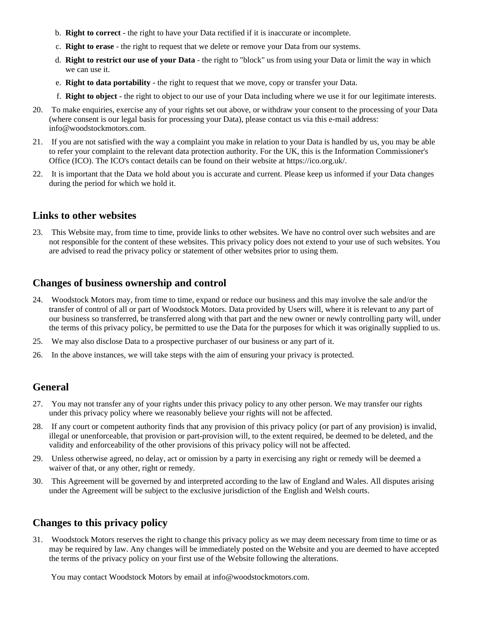- b. **Right to correct** the right to have your Data rectified if it is inaccurate or incomplete.
- c. **Right to erase** the right to request that we delete or remove your Data from our systems.
- d. **Right to restrict our use of your Data** the right to "block" us from using your Data or limit the way in which we can use it.
- e. **Right to data portability** the right to request that we move, copy or transfer your Data.
- f. **Right to object** the right to object to our use of your Data including where we use it for our legitimate interests.
- 20. To make enquiries, exercise any of your rights set out above, or withdraw your consent to the processing of your Data (where consent is our legal basis for processing your Data), please contact us via this e-mail address: info@woodstockmotors.com.
- 21. If you are not satisfied with the way a complaint you make in relation to your Data is handled by us, you may be able to refer your complaint to the relevant data protection authority. For the UK, this is the Information Commissioner's Office (ICO). The ICO's contact details can be found on their website at https://ico.org.uk/.
- 22. It is important that the Data we hold about you is accurate and current. Please keep us informed if your Data changes during the period for which we hold it.

#### **Links to other websites**

23. This Website may, from time to time, provide links to other websites. We have no control over such websites and are not responsible for the content of these websites. This privacy policy does not extend to your use of such websites. You are advised to read the privacy policy or statement of other websites prior to using them.

#### **Changes of business ownership and control**

- 24. Woodstock Motors may, from time to time, expand or reduce our business and this may involve the sale and/or the transfer of control of all or part of Woodstock Motors. Data provided by Users will, where it is relevant to any part of our business so transferred, be transferred along with that part and the new owner or newly controlling party will, under the terms of this privacy policy, be permitted to use the Data for the purposes for which it was originally supplied to us.
- 25. We may also disclose Data to a prospective purchaser of our business or any part of it.
- 26. In the above instances, we will take steps with the aim of ensuring your privacy is protected.

#### **General**

- 27. You may not transfer any of your rights under this privacy policy to any other person. We may transfer our rights under this privacy policy where we reasonably believe your rights will not be affected.
- 28. If any court or competent authority finds that any provision of this privacy policy (or part of any provision) is invalid, illegal or unenforceable, that provision or part-provision will, to the extent required, be deemed to be deleted, and the validity and enforceability of the other provisions of this privacy policy will not be affected.
- 29. Unless otherwise agreed, no delay, act or omission by a party in exercising any right or remedy will be deemed a waiver of that, or any other, right or remedy.
- 30. This Agreement will be governed by and interpreted according to the law of England and Wales. All disputes arising under the Agreement will be subject to the exclusive jurisdiction of the English and Welsh courts.

#### **Changes to this privacy policy**

31. Woodstock Motors reserves the right to change this privacy policy as we may deem necessary from time to time or as may be required by law. Any changes will be immediately posted on the Website and you are deemed to have accepted the terms of the privacy policy on your first use of the Website following the alterations.

You may contact Woodstock Motors by email at info@woodstockmotors.com.